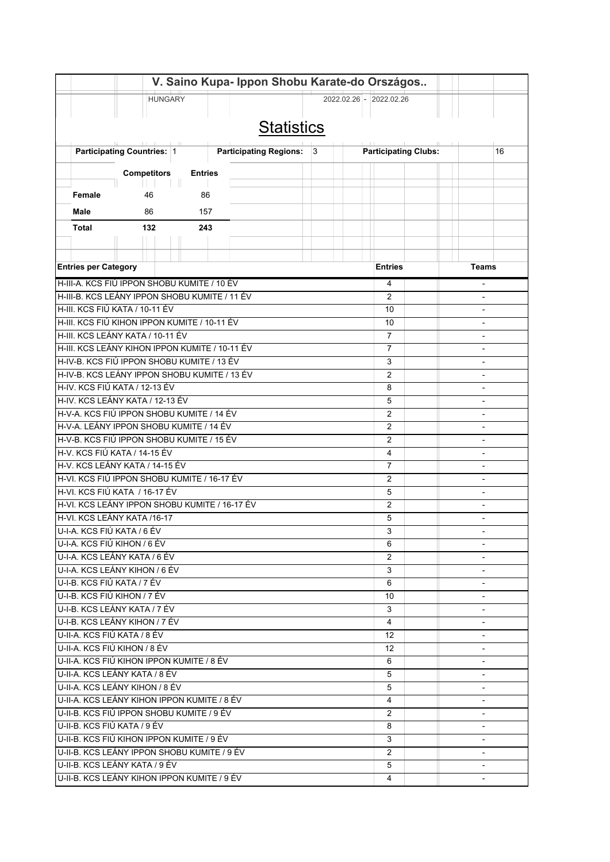|                                                                               |                                                     | V. Saino Kupa- Ippon Shobu Karate-do Országos |                          |                                  |                          |  |
|-------------------------------------------------------------------------------|-----------------------------------------------------|-----------------------------------------------|--------------------------|----------------------------------|--------------------------|--|
|                                                                               | <b>HUNGARY</b>                                      |                                               |                          | 2022.02.26 - 2022.02.26          |                          |  |
|                                                                               |                                                     |                                               |                          |                                  |                          |  |
|                                                                               |                                                     | <b>Statistics</b>                             |                          |                                  |                          |  |
|                                                                               |                                                     |                                               |                          |                                  |                          |  |
|                                                                               | 1111<br>L. II.<br><b>Participating Countries: 1</b> | Participating Regions: 3                      |                          | <b>Participating Clubs:</b>      | 16                       |  |
|                                                                               |                                                     |                                               |                          |                                  |                          |  |
|                                                                               | <b>Competitors</b>                                  | <b>Entries</b>                                |                          |                                  |                          |  |
| Female                                                                        | 46                                                  | 86                                            |                          |                                  |                          |  |
| Male                                                                          | 86                                                  | 157                                           |                          |                                  |                          |  |
|                                                                               |                                                     |                                               |                          |                                  |                          |  |
| Total                                                                         | 132                                                 | 243                                           |                          |                                  |                          |  |
|                                                                               |                                                     |                                               |                          |                                  |                          |  |
|                                                                               |                                                     |                                               |                          |                                  |                          |  |
| <b>Entries per Category</b>                                                   |                                                     |                                               |                          | <b>Entries</b>                   | Teams                    |  |
|                                                                               | H-III-A. KCS FIÚ IPPON SHOBU KUMITE / 10 ÉV         |                                               |                          | 4                                | $\overline{a}$           |  |
|                                                                               | H-III-B. KCS LEÁNY IPPON SHOBU KUMITE / 11 ÉV       | $\overline{2}$                                |                          |                                  |                          |  |
| H-III. KCS FIÚ KATA / 10-11 ÉV                                                |                                                     | 10                                            | $\overline{\phantom{0}}$ |                                  |                          |  |
|                                                                               | H-III. KCS FIÚ KIHON IPPON KUMITE / 10-11 ÉV        |                                               |                          | 10                               |                          |  |
|                                                                               | H-III. KCS LEÁNY KATA / 10-11 ÉV                    |                                               |                          | $\overline{7}$<br>$\overline{7}$ |                          |  |
| H-III. KCS LEÁNY KIHON IPPON KUMITE / 10-11 ÉV                                |                                                     |                                               |                          |                                  |                          |  |
| H-IV-B. KCS FIÚ IPPON SHOBU KUMITE / 13 ÉV<br>3<br>$\overline{2}$             |                                                     |                                               |                          |                                  | $\overline{a}$           |  |
| H-IV-B. KCS LEÁNY IPPON SHOBU KUMITE / 13 ÉV<br>H-IV. KCS FIÚ KATA / 12-13 ÉV |                                                     |                                               |                          |                                  |                          |  |
| H-IV. KCS LEÁNY KATA / 12-13 ÉV                                               |                                                     |                                               |                          |                                  |                          |  |
| H-V-A. KCS FIÚ IPPON SHOBU KUMITE / 14 ÉV                                     |                                                     |                                               |                          |                                  |                          |  |
| H-V-A. LEÁNY IPPON SHOBU KUMITE / 14 ÉV                                       |                                                     |                                               |                          |                                  |                          |  |
| H-V-B. KCS FIÚ IPPON SHOBU KUMITE / 15 ÉV                                     |                                                     |                                               |                          |                                  |                          |  |
| H-V. KCS FIÚ KATA / 14-15 ÉV                                                  |                                                     |                                               |                          |                                  |                          |  |
| H-V. KCS LEÁNY KATA / 14-15 ÉV                                                |                                                     |                                               |                          |                                  |                          |  |
| 7<br>H-VI. KCS FIÚ IPPON SHOBU KUMITE / 16-17 ÉV<br>2                         |                                                     |                                               |                          |                                  |                          |  |
| H-VI. KCS FIÚ KATA / 16-17 ÉV                                                 | $\overline{a}$                                      |                                               |                          |                                  |                          |  |
| H-VI. KCS LEÁNY IPPON SHOBU KUMITE / 16-17 ÉV                                 |                                                     |                                               |                          |                                  |                          |  |
| H-VI. KCS LEÁNY KATA /16-17                                                   |                                                     | 5                                             | $\blacksquare$           |                                  |                          |  |
| U-I-A. KCS FIÚ KATA / 6 ÉV                                                    |                                                     | 3                                             |                          |                                  |                          |  |
| U-I-A. KCS FIÚ KIHON / 6 ÉV                                                   |                                                     | 6                                             |                          |                                  |                          |  |
| U-I-A, KCS LEÁNY KATA / 6 ÉV                                                  |                                                     | $\overline{2}$                                |                          |                                  |                          |  |
| U-I-A. KCS LEÁNY KIHON / 6 ÉV                                                 |                                                     | 3                                             |                          |                                  |                          |  |
| U-I-B. KCS FIÚ KATA / 7 ÉV                                                    |                                                     |                                               |                          | 6                                | $\overline{\phantom{a}}$ |  |
| U-I-B. KCS FIÚ KIHON / 7 ÉV                                                   |                                                     |                                               |                          | 10                               | $\overline{\phantom{a}}$ |  |
| U-I-B. KCS LEÁNY KATA / 7 ÉV                                                  |                                                     |                                               |                          | 3                                |                          |  |
| U-I-B. KCS LEÁNY KIHON / 7 ÉV                                                 |                                                     |                                               |                          | 4                                | $\overline{\phantom{a}}$ |  |
| U-II-A. KCS FIÚ KATA / 8 ÉV                                                   |                                                     | 12 <sup>°</sup>                               |                          |                                  |                          |  |
| U-II-A. KCS FIÚ KIHON / 8 ÉV                                                  |                                                     | 12                                            |                          |                                  |                          |  |
|                                                                               | IU-II-A. KCS FIÚ KIHON IPPON KUMITE / 8 ÉV          | 6                                             |                          |                                  |                          |  |
| U-II-A. KCS LEÁNY KATA / 8 ÉV                                                 |                                                     | 5                                             |                          |                                  |                          |  |
|                                                                               | U-II-A. KCS LEÁNY KIHON / 8 ÉV                      | 5                                             | $\blacksquare$           |                                  |                          |  |
|                                                                               | U-II-A. KCS LEÁNY KIHON IPPON KUMITE / 8 ÉV         | 4                                             | $\overline{\phantom{0}}$ |                                  |                          |  |
| U-II-B. KCS FIÚ KATA / 9 ÉV                                                   | IU-II-B. KCS FIÚ IPPON SHOBU KUMITE / 9 ÉV          | $\overline{2}$                                |                          |                                  |                          |  |
|                                                                               | U-II-B. KCS FIÚ KIHON IPPON KUMITE / 9 ÉV           | 8<br>3                                        |                          |                                  |                          |  |
|                                                                               | U-II-B. KCS LEÁNY IPPON SHOBU KUMITE / 9 ÉV         | $\overline{2}$                                | $\overline{\phantom{0}}$ |                                  |                          |  |
|                                                                               |                                                     | 5                                             |                          |                                  |                          |  |
| U-II-B. KCS LEÁNY KATA / 9 ÉV<br>U-II-B. KCS LEÁNY KIHON IPPON KUMITE / 9 ÉV  |                                                     |                                               |                          | 4                                |                          |  |
|                                                                               |                                                     |                                               |                          |                                  |                          |  |